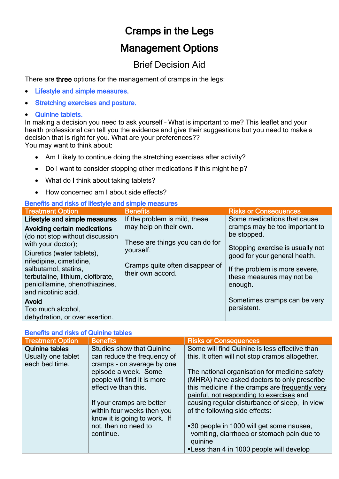# Cramps in the Legs

## Management Options

### Brief Decision Aid

There are three options for the management of cramps in the legs:

- Lifestyle and simple measures.
- **Stretching exercises and posture.**
- Quinine tablets.

In making a decision you need to ask yourself – What is important to me? This leaflet and your health professional can tell you the evidence and give their suggestions but you need to make a decision that is right for you. What are your preferences??

You may want to think about:

- Am I likely to continue doing the stretching exercises after activity?
- Do I want to consider stopping other medications if this might help?
- What do I think about taking tablets?
- How concerned am I about side effects?

#### Benefits and risks of lifestyle and simple measures

| <b>Treatment Option</b>                                                                                                                                                                                                                                                       | <b>Benefits</b>                                                                                                                | <b>Risks or Consequences</b>                                                                                                                                                                                                                |
|-------------------------------------------------------------------------------------------------------------------------------------------------------------------------------------------------------------------------------------------------------------------------------|--------------------------------------------------------------------------------------------------------------------------------|---------------------------------------------------------------------------------------------------------------------------------------------------------------------------------------------------------------------------------------------|
| Lifestyle and simple measures                                                                                                                                                                                                                                                 | If the problem is mild, these                                                                                                  | Some medications that cause                                                                                                                                                                                                                 |
| Avoiding certain medications<br>(do not stop without discussion<br>with your doctor):<br>Diuretics (water tablets),<br>nifedipine, cimetidine,<br>salbutamol, statins,<br>terbutaline, lithium, clofibrate,<br>penicillamine, phenothiazines,<br>and nicotinic acid.<br>Avoid | may help on their own.<br>These are things you can do for<br>yourself.<br>Cramps quite often disappear of<br>their own accord. | cramps may be too important to<br>be stopped.<br>Stopping exercise is usually not<br>good for your general health.<br>If the problem is more severe,<br>these measures may not be<br>enough.<br>Sometimes cramps can be very<br>persistent. |
| Too much alcohol,<br>dehydration, or over exertion.                                                                                                                                                                                                                           |                                                                                                                                |                                                                                                                                                                                                                                             |

### Benefits and risks of Quinine tables

| <b>Treatment Option</b> | <b>Benefits</b>                  | <b>Risks or Consequences</b>                    |  |  |
|-------------------------|----------------------------------|-------------------------------------------------|--|--|
| <b>Quinine tables</b>   | <b>Studies show that Quinine</b> | Some will find Quinine is less effective than   |  |  |
| Usually one tablet      | can reduce the frequency of      | this. It often will not stop cramps altogether. |  |  |
| each bed time.          | cramps - on average by one       |                                                 |  |  |
|                         | episode a week. Some             | The national organisation for medicine safety   |  |  |
|                         | people will find it is more      | (MHRA) have asked doctors to only prescribe     |  |  |
|                         | effective than this.             | this medicine if the cramps are frequently very |  |  |
|                         |                                  | painful, not responding to exercises and        |  |  |
|                         | If your cramps are better        | causing regular disturbance of sleep, in view   |  |  |
|                         | within four weeks then you       | of the following side effects:                  |  |  |
|                         | know it is going to work. If     |                                                 |  |  |
|                         | not, then no need to             | ■30 people in 1000 will get some nausea,        |  |  |
|                         | continue.                        | vomiting, diarrhoea or stomach pain due to      |  |  |
|                         |                                  | quinine                                         |  |  |
|                         |                                  | ■ Less than 4 in 1000 people will develop       |  |  |